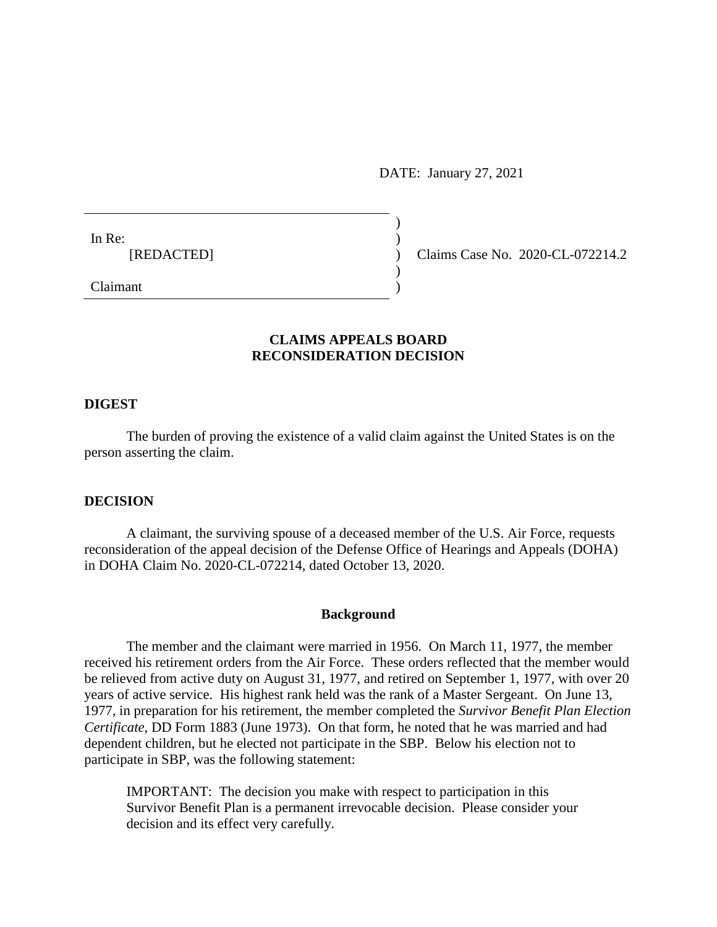DATE: January 27, 2021

)

)

In Re:  $\qquad \qquad$ )

[REDACTED] ) Claims Case No. 2020-CL-072214.2

Claimant )

# **CLAIMS APPEALS BOARD RECONSIDERATION DECISION**

### **DIGEST**

The burden of proving the existence of a valid claim against the United States is on the person asserting the claim.

#### **DECISION**

A claimant, the surviving spouse of a deceased member of the U.S. Air Force, requests reconsideration of the appeal decision of the Defense Office of Hearings and Appeals (DOHA) in DOHA Claim No. 2020-CL-072214, dated October 13, 2020.

#### **Background**

The member and the claimant were married in 1956. On March 11, 1977, the member received his retirement orders from the Air Force. These orders reflected that the member would be relieved from active duty on August 31, 1977, and retired on September 1, 1977, with over 20 years of active service. His highest rank held was the rank of a Master Sergeant. On June 13, 1977, in preparation for his retirement, the member completed the *Survivor Benefit Plan Election Certificate*, DD Form 1883 (June 1973). On that form, he noted that he was married and had dependent children, but he elected not participate in the SBP. Below his election not to participate in SBP, was the following statement:

IMPORTANT: The decision you make with respect to participation in this Survivor Benefit Plan is a permanent irrevocable decision. Please consider your decision and its effect very carefully.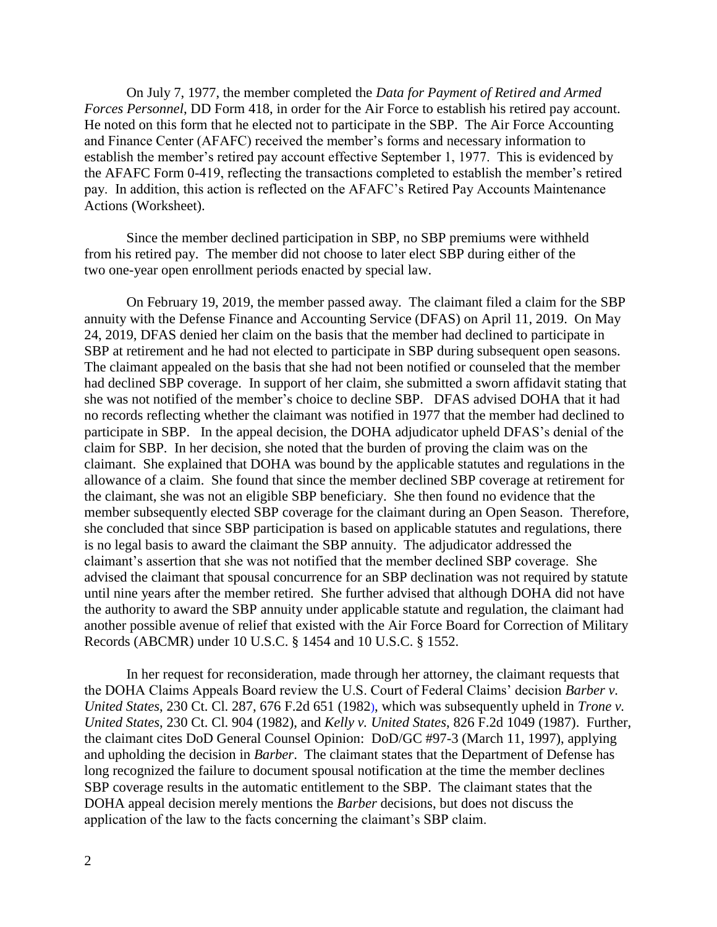On July 7, 1977, the member completed the *Data for Payment of Retired and Armed Forces Personnel*, DD Form 418, in order for the Air Force to establish his retired pay account. He noted on this form that he elected not to participate in the SBP. The Air Force Accounting and Finance Center (AFAFC) received the member's forms and necessary information to establish the member's retired pay account effective September 1, 1977. This is evidenced by the AFAFC Form 0-419, reflecting the transactions completed to establish the member's retired pay. In addition, this action is reflected on the AFAFC's Retired Pay Accounts Maintenance Actions (Worksheet).

Since the member declined participation in SBP, no SBP premiums were withheld from his retired pay. The member did not choose to later elect SBP during either of the two one-year open enrollment periods enacted by special law.

On February 19, 2019, the member passed away. The claimant filed a claim for the SBP annuity with the Defense Finance and Accounting Service (DFAS) on April 11, 2019. On May 24, 2019, DFAS denied her claim on the basis that the member had declined to participate in SBP at retirement and he had not elected to participate in SBP during subsequent open seasons. The claimant appealed on the basis that she had not been notified or counseled that the member had declined SBP coverage. In support of her claim, she submitted a sworn affidavit stating that she was not notified of the member's choice to decline SBP. DFAS advised DOHA that it had no records reflecting whether the claimant was notified in 1977 that the member had declined to participate in SBP. In the appeal decision, the DOHA adjudicator upheld DFAS's denial of the claim for SBP. In her decision, she noted that the burden of proving the claim was on the claimant. She explained that DOHA was bound by the applicable statutes and regulations in the allowance of a claim. She found that since the member declined SBP coverage at retirement for the claimant, she was not an eligible SBP beneficiary. She then found no evidence that the member subsequently elected SBP coverage for the claimant during an Open Season. Therefore, she concluded that since SBP participation is based on applicable statutes and regulations, there is no legal basis to award the claimant the SBP annuity. The adjudicator addressed the claimant's assertion that she was not notified that the member declined SBP coverage. She advised the claimant that spousal concurrence for an SBP declination was not required by statute until nine years after the member retired. She further advised that although DOHA did not have the authority to award the SBP annuity under applicable statute and regulation, the claimant had another possible avenue of relief that existed with the Air Force Board for Correction of Military Records (ABCMR) under 10 U.S.C. § 1454 and 10 U.S.C. § 1552.

In her request for reconsideration, made through her attorney, the claimant requests that the DOHA Claims Appeals Board review the U.S. Court of Federal Claims' decision *[Barber v.](http://www.westlaw.com/Link/Document/FullText?findType=Y&serNum=1982118738&pubNum=0000350&originatingDoc=I909f8f3be05c11eabea4f0dc9fb69570&refType=RP&originationContext=document&vr=3.0&rs=cblt1.0&transitionType=DocumentItem&contextData=(sc.Search))  United States*[, 230 Ct. Cl. 287, 676 F.2d 651 \(1982\),](http://www.westlaw.com/Link/Document/FullText?findType=Y&serNum=1982118738&pubNum=0000350&originatingDoc=I909f8f3be05c11eabea4f0dc9fb69570&refType=RP&originationContext=document&vr=3.0&rs=cblt1.0&transitionType=DocumentItem&contextData=(sc.Search)) which was subsequently upheld in *Trone v. United States*, 230 Ct. Cl. 904 (1982), and *Kelly v. United States*, 826 F.2d 1049 (1987). Further, the claimant cites DoD General Counsel Opinion: DoD/GC #97-3 (March 11, 1997), applying and upholding the decision in *Barber*. The claimant states that the Department of Defense has long recognized the failure to document spousal notification at the time the member declines SBP coverage results in the automatic entitlement to the SBP. The claimant states that the DOHA appeal decision merely mentions the *Barber* decisions, but does not discuss the application of the law to the facts concerning the claimant's SBP claim.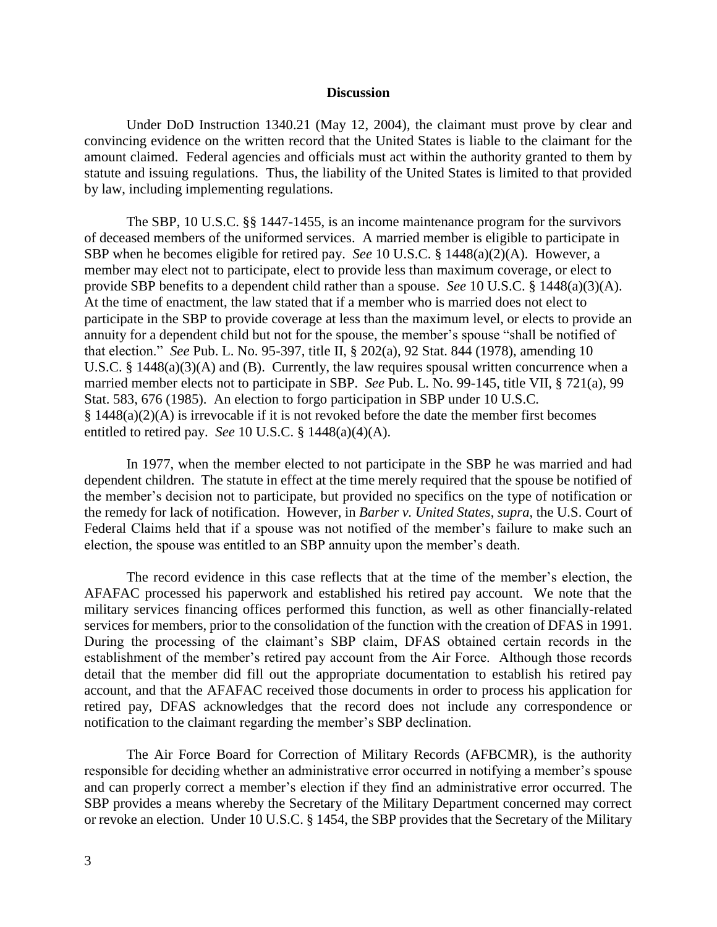#### **Discussion**

Under DoD Instruction 1340.21 (May 12, 2004), the claimant must prove by clear and convincing evidence on the written record that the United States is liable to the claimant for the amount claimed. Federal agencies and officials must act within the authority granted to them by statute and issuing regulations. Thus, the liability of the United States is limited to that provided by law, including implementing regulations.

The SBP, [10 U.S.C. §§ 1447-](http://www.westlaw.com/Link/Document/FullText?findType=L&pubNum=1000546&cite=10USCAS1447&originatingDoc=I909f8f3be05c11eabea4f0dc9fb69570&refType=LQ&originationContext=document&vr=3.0&rs=cblt1.0&transitionType=DocumentItem&contextData=(sc.Search))[1455,](http://www.westlaw.com/Link/Document/FullText?findType=L&pubNum=1000546&cite=10USCAS1455&originatingDoc=I909f8f3be05c11eabea4f0dc9fb69570&refType=LQ&originationContext=document&vr=3.0&rs=cblt1.0&transitionType=DocumentItem&contextData=(sc.Search)) is an income maintenance program for the survivors of deceased members of the uniformed services. A married member is eligible to participate in SBP when he becomes eligible for retired pay. *See* 10 U.S.C. § 1448(a)(2)(A). However, a member may elect not to participate, elect to provide less than maximum coverage, or elect to provide SBP benefits to a dependent child rather than a spouse. *See* [10 U.S.C. § 1448\(a\)\(3\)\(A\).](http://www.westlaw.com/Link/Document/FullText?findType=L&pubNum=1000546&cite=10USCAS1448&originatingDoc=I909f8f3be05c11eabea4f0dc9fb69570&refType=RB&originationContext=document&vr=3.0&rs=cblt1.0&transitionType=DocumentItem&contextData=(sc.Search)#co_pp_51d0000021cd6) At the time of enactment, the law stated that if a member who is married does not elect to participate in the SBP to provide coverage at less than the maximum level, or elects to provide an annuity for a dependent child but not for the spouse, the member's spouse "shall be notified of that election." *See* Pub. L. No. 95-397, title II, § 202(a), 92 Stat. 844 (1978), amending 10 U.S.C. § 1448(a)(3)(A) and (B). Currently, the law requires spousal written concurrence when a married member elects not to participate in SBP. *See* [Pub. L. No. 99-145,](http://www.westlaw.com/Link/Document/FullText?findType=l&pubNum=1077005&cite=UUID(IE58C955515-8F40C2B818C-0510866B7EF)&originatingDoc=I909f8f3be05c11eabea4f0dc9fb69570&refType=SL&originationContext=document&vr=3.0&rs=cblt1.0&transitionType=DocumentItem&contextData=(sc.Search)) title VII, § 721(a), 99 Stat. 583, 676 (1985). An election to forgo participation in SBP under 10 U.S.C. § 1448(a)(2)(A) is irrevocable if it is not revoked before the date the member first becomes entitled to retired pay. *See* 10 U.S.C. § 1448(a)(4)(A).

In 1977, when the member elected to not participate in the SBP he was married and had dependent children. The statute in effect at the time merely required that the spouse be notified of the member's decision not to participate, but provided no specifics on the type of notification or the remedy for lack of notification. However, in *[Barber v. United States](http://www.westlaw.com/Link/Document/FullText?findType=Y&serNum=1982118738&pubNum=0000350&originatingDoc=I909f8f3be05c11eabea4f0dc9fb69570&refType=RP&originationContext=document&vr=3.0&rs=cblt1.0&transitionType=DocumentItem&contextData=(sc.Search))*, *supra*, the U.S. Court of Federal Claims held that if a spouse was not notified of the member's failure to make such an election, the spouse was entitled to an SBP annuity upon the member's death.

The record evidence in this case reflects that at the time of the member's election, the AFAFAC processed his paperwork and established his retired pay account. We note that the military services financing offices performed this function, as well as other financially-related services for members, prior to the consolidation of the function with the creation of DFAS in 1991. During the processing of the claimant's SBP claim, DFAS obtained certain records in the establishment of the member's retired pay account from the Air Force. Although those records detail that the member did fill out the appropriate documentation to establish his retired pay account, and that the AFAFAC received those documents in order to process his application for retired pay, DFAS acknowledges that the record does not include any correspondence or notification to the claimant regarding the member's SBP declination.

The Air Force Board for Correction of Military Records (AFBCMR), is the authority responsible for deciding whether an administrative error occurred in notifying a member's spouse and can properly correct a member's election if they find an administrative error occurred. The SBP provides a means whereby the Secretary of the Military Department concerned may correct or revoke an election. Under 10 U.S.C. § 1454, the SBP provides that the Secretary of the Military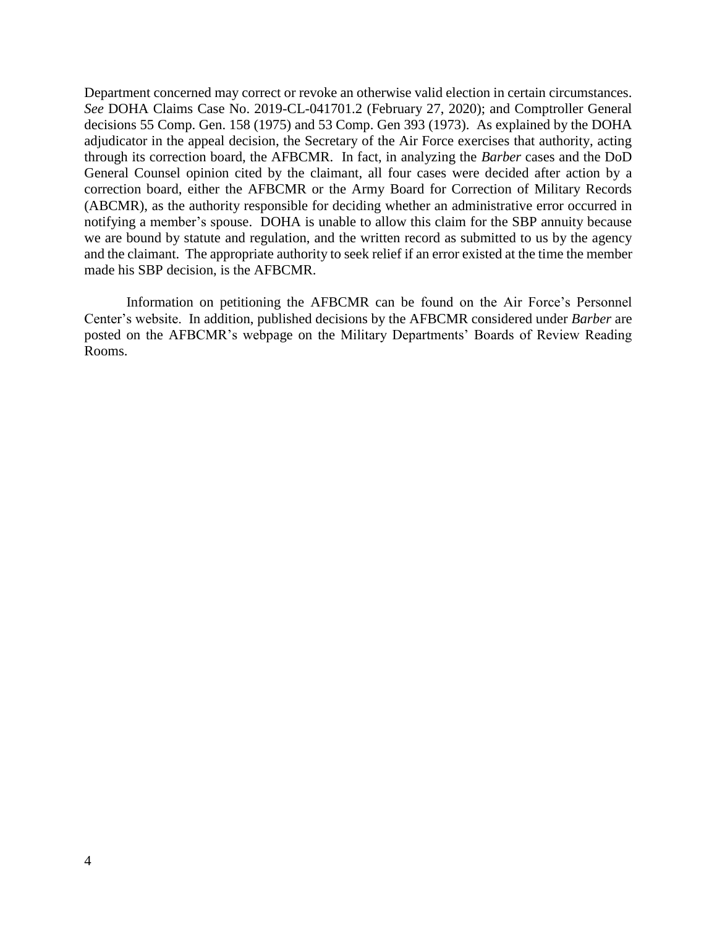Department concerned may correct or revoke an otherwise valid election in certain circumstances. *See* DOHA Claims Case No. 2019-CL-041701.2 (February 27, 2020); and Comptroller General decisions 55 Comp. Gen. 158 (1975) and 53 Comp. Gen 393 (1973). As explained by the DOHA adjudicator in the appeal decision, the Secretary of the Air Force exercises that authority, acting through its correction board, the AFBCMR. In fact, in analyzing the *Barber* cases and the DoD General Counsel opinion cited by the claimant, all four cases were decided after action by a correction board, either the AFBCMR or the Army Board for Correction of Military Records (ABCMR), as the authority responsible for deciding whether an administrative error occurred in notifying a member's spouse. DOHA is unable to allow this claim for the SBP annuity because we are bound by statute and regulation, and the written record as submitted to us by the agency and the claimant. The appropriate authority to seek relief if an error existed at the time the member made his SBP decision, is the AFBCMR.

Information on petitioning the AFBCMR can be found on the Air Force's Personnel Center's website. In addition, published decisions by the AFBCMR considered under *Barber* are posted on the AFBCMR's webpage on the Military Departments' Boards of Review Reading Rooms.